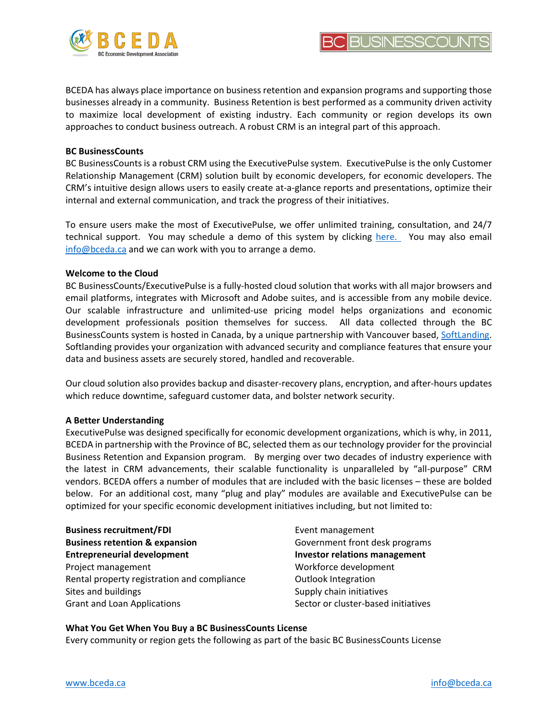



BCEDA has always place importance on business retention and expansion programs and supporting those businesses already in a community. Business Retention is best performed as a community driven activity to maximize local development of existing industry. Each community or region develops its own approaches to conduct business outreach. A robust CRM is an integral part of this approach.

## **BC BusinessCounts**

BC BusinessCounts is a robust CRM using the ExecutivePulse system. ExecutivePulse is the only Customer Relationship Management (CRM) solution built by economic developers, for economic developers. The CRM's intuitive design allows users to easily create at-a-glance reports and presentations, optimize their internal and external communication, and track the progress of their initiatives.

To ensure users make the most of ExecutivePulse, we offer unlimited training, consultation, and 24/7 technical support. You may schedule a demo of this system by clicking [here.](https://www.executivepulse.com/contact) You may also email [info@bceda.ca](mailto:info@bceda.ca) and we can work with you to arrange a demo.

## **Welcome to the Cloud**

BC BusinessCounts/ExecutivePulse is a fully-hosted cloud solution that works with all major browsers and email platforms, integrates with Microsoft and Adobe suites, and is accessible from any mobile device. Our scalable infrastructure and unlimited-use pricing model helps organizations and economic development professionals position themselves for success. All data collected through the BC BusinessCounts system is hosted in Canada, by a unique partnership with Vancouver based, [SoftLanding.](https://www.softlanding.ca/) Softlanding provides your organization with advanced security and compliance features that ensure your data and business assets are securely stored, handled and recoverable.

Our cloud solution also provides backup and disaster-recovery plans, encryption, and after-hours updates which reduce downtime, safeguard customer data, and bolster network security.

## **A Better Understanding**

ExecutivePulse was designed specifically for economic development organizations, which is why, in 2011, BCEDA in partnership with the Province of BC, selected them as our technology provider for the provincial Business Retention and Expansion program. By merging over two decades of industry experience with the latest in CRM advancements, their scalable functionality is unparalleled by "all-purpose" CRM vendors. BCEDA offers a number of modules that are included with the basic licenses – these are bolded below. For an additional cost, many "plug and play" modules are available and ExecutivePulse can be optimized for your specific economic development initiatives including, but not limited to:

**Business recruitment/FDI Business retention & expansion Entrepreneurial development** Project management Workforce development Rental property registration and compliance Sites and buildings Grant and Loan Applications

Event management Government front desk programs **Investor relations management** Outlook Integration Supply chain initiatives Sector or cluster-based initiatives

## **What You Get When You Buy a BC BusinessCounts License**

Every community or region gets the following as part of the basic BC BusinessCounts License